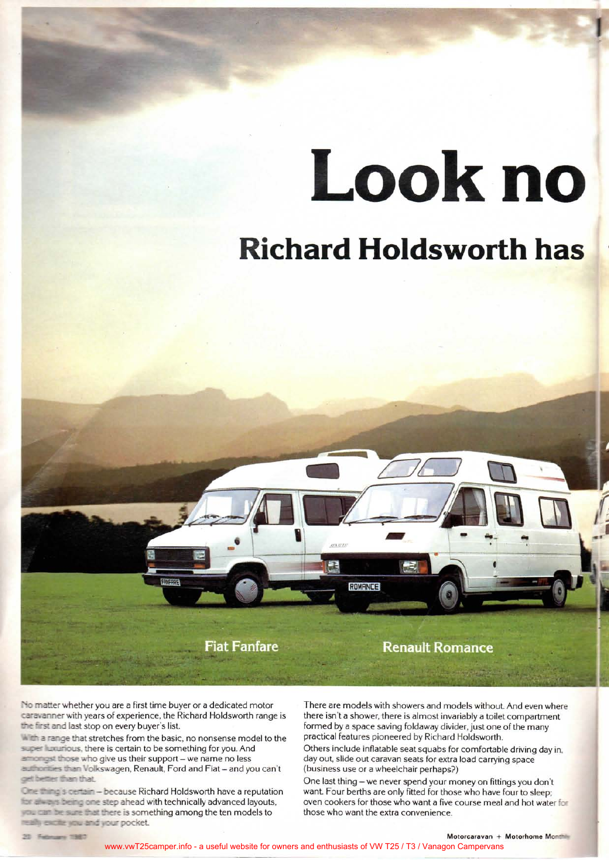## Look no

### **Richard Holdsworth has**



No matter whether you are a first time buyer or a dedicated motor caravanner with years of experience, the Richard Holdsworth range is the first and last stop on every buyer's list.

**With a range that stretches from the basic, no nonsense model to the** super luxurious, there is certain to be something for you. And amongst those who give us their support - we name no less **authomies than Volkswagen, Renault, Ford and Fiat - and you can't** get better than that.

*One*  $\frac{1}{2}$  is certain - because Richard Holdsworth have a reputation for each is being one step ahead with technically advanced layouts, was can be sure that there is something among the ten models to really excite you and your pocket.

There are models with showers and models without. And even where there isn't a shower, there is almost invariably a toilet compartment formed by a space saving foldaway divider, just one of the many practical features pioneered by Richard Holdsworth.

Others include inflatable seat squabs for comfortable driving day in. day out, slide out caravan seats for extra load carrying space (business use or a wheelchair perhaps?)

One last thing - we never spend your money on fittings you don't want. Four berths are only fitted for those who have four to sleep; oven cookers for those who want a five course meal and hot water for those who want the extra convenience.

20 February 1987

 $$